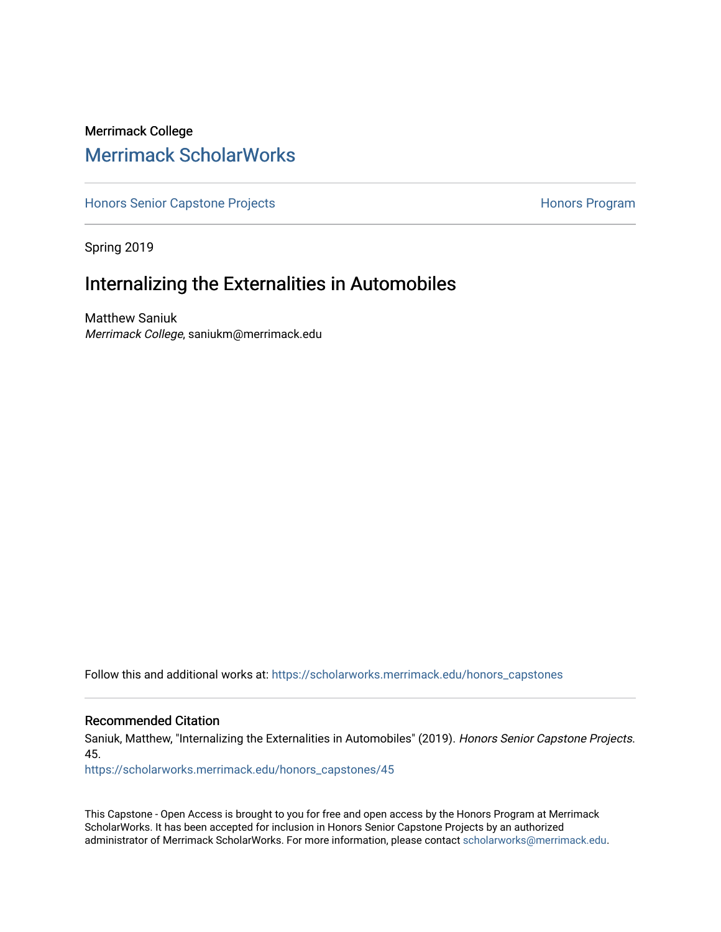## Merrimack College [Merrimack ScholarWorks](https://scholarworks.merrimack.edu/)

[Honors Senior Capstone Projects](https://scholarworks.merrimack.edu/honors_capstones) **Honors Program** Honors Program

Spring 2019

# Internalizing the Externalities in Automobiles

Matthew Saniuk Merrimack College, saniukm@merrimack.edu

Follow this and additional works at: [https://scholarworks.merrimack.edu/honors\\_capstones](https://scholarworks.merrimack.edu/honors_capstones?utm_source=scholarworks.merrimack.edu%2Fhonors_capstones%2F45&utm_medium=PDF&utm_campaign=PDFCoverPages)

## Recommended Citation

Saniuk, Matthew, "Internalizing the Externalities in Automobiles" (2019). Honors Senior Capstone Projects. 45.

[https://scholarworks.merrimack.edu/honors\\_capstones/45](https://scholarworks.merrimack.edu/honors_capstones/45?utm_source=scholarworks.merrimack.edu%2Fhonors_capstones%2F45&utm_medium=PDF&utm_campaign=PDFCoverPages) 

This Capstone - Open Access is brought to you for free and open access by the Honors Program at Merrimack ScholarWorks. It has been accepted for inclusion in Honors Senior Capstone Projects by an authorized administrator of Merrimack ScholarWorks. For more information, please contact [scholarworks@merrimack.edu](mailto:scholarworks@merrimack.edu).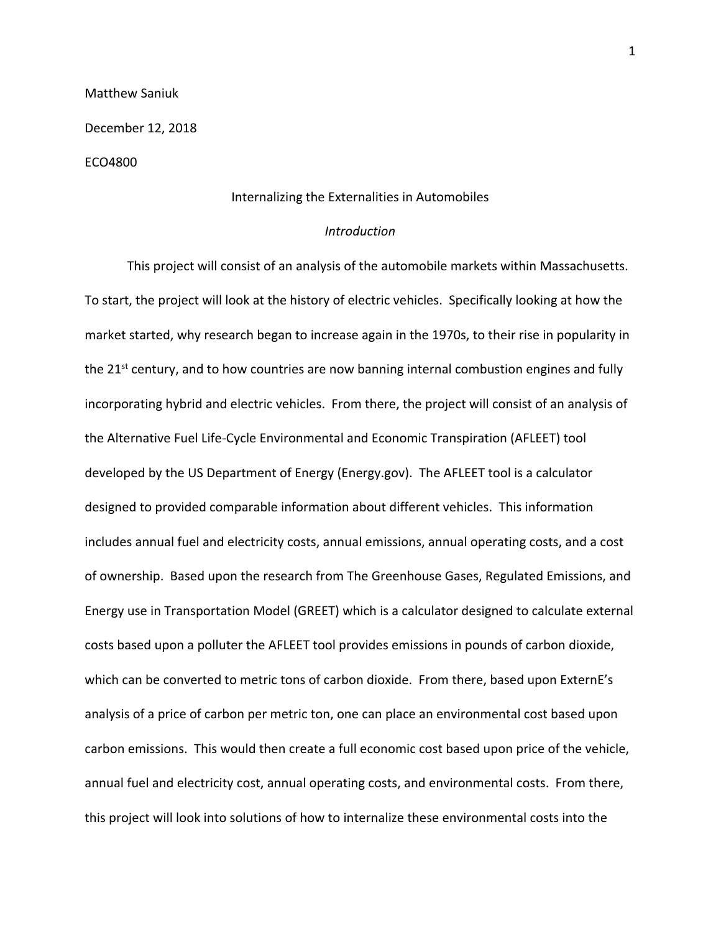Matthew Saniuk

December 12, 2018

## ECO4800

## Internalizing the Externalities in Automobiles

## *Introduction*

This project will consist of an analysis of the automobile markets within Massachusetts. To start, the project will look at the history of electric vehicles. Specifically looking at how the market started, why research began to increase again in the 1970s, to their rise in popularity in the  $21<sup>st</sup>$  century, and to how countries are now banning internal combustion engines and fully incorporating hybrid and electric vehicles. From there, the project will consist of an analysis of the Alternative Fuel Life-Cycle Environmental and Economic Transpiration (AFLEET) tool developed by the US Department of Energy (Energy.gov). The AFLEET tool is a calculator designed to provided comparable information about different vehicles. This information includes annual fuel and electricity costs, annual emissions, annual operating costs, and a cost of ownership. Based upon the research from The Greenhouse Gases, Regulated Emissions, and Energy use in Transportation Model (GREET) which is a calculator designed to calculate external costs based upon a polluter the AFLEET tool provides emissions in pounds of carbon dioxide, which can be converted to metric tons of carbon dioxide. From there, based upon ExternE's analysis of a price of carbon per metric ton, one can place an environmental cost based upon carbon emissions. This would then create a full economic cost based upon price of the vehicle, annual fuel and electricity cost, annual operating costs, and environmental costs. From there, this project will look into solutions of how to internalize these environmental costs into the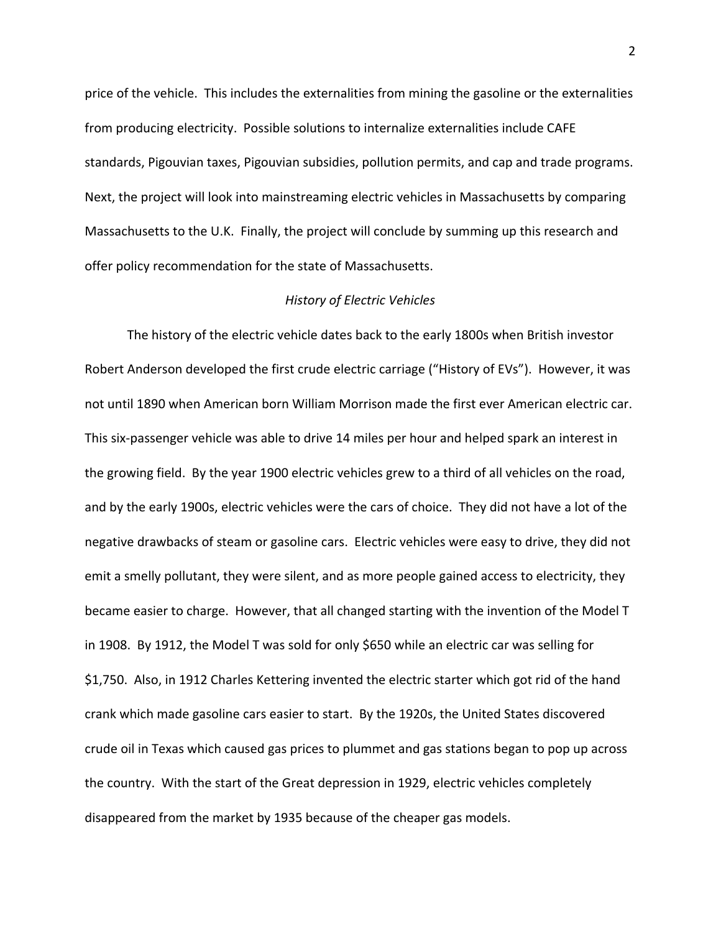price of the vehicle. This includes the externalities from mining the gasoline or the externalities from producing electricity. Possible solutions to internalize externalities include CAFE standards, Pigouvian taxes, Pigouvian subsidies, pollution permits, and cap and trade programs. Next, the project will look into mainstreaming electric vehicles in Massachusetts by comparing Massachusetts to the U.K. Finally, the project will conclude by summing up this research and offer policy recommendation for the state of Massachusetts.

## *History of Electric Vehicles*

The history of the electric vehicle dates back to the early 1800s when British investor Robert Anderson developed the first crude electric carriage ("History of EVs"). However, it was not until 1890 when American born William Morrison made the first ever American electric car. This six-passenger vehicle was able to drive 14 miles per hour and helped spark an interest in the growing field. By the year 1900 electric vehicles grew to a third of all vehicles on the road, and by the early 1900s, electric vehicles were the cars of choice. They did not have a lot of the negative drawbacks of steam or gasoline cars. Electric vehicles were easy to drive, they did not emit a smelly pollutant, they were silent, and as more people gained access to electricity, they became easier to charge. However, that all changed starting with the invention of the Model T in 1908. By 1912, the Model T was sold for only \$650 while an electric car was selling for \$1,750. Also, in 1912 Charles Kettering invented the electric starter which got rid of the hand crank which made gasoline cars easier to start. By the 1920s, the United States discovered crude oil in Texas which caused gas prices to plummet and gas stations began to pop up across the country. With the start of the Great depression in 1929, electric vehicles completely disappeared from the market by 1935 because of the cheaper gas models.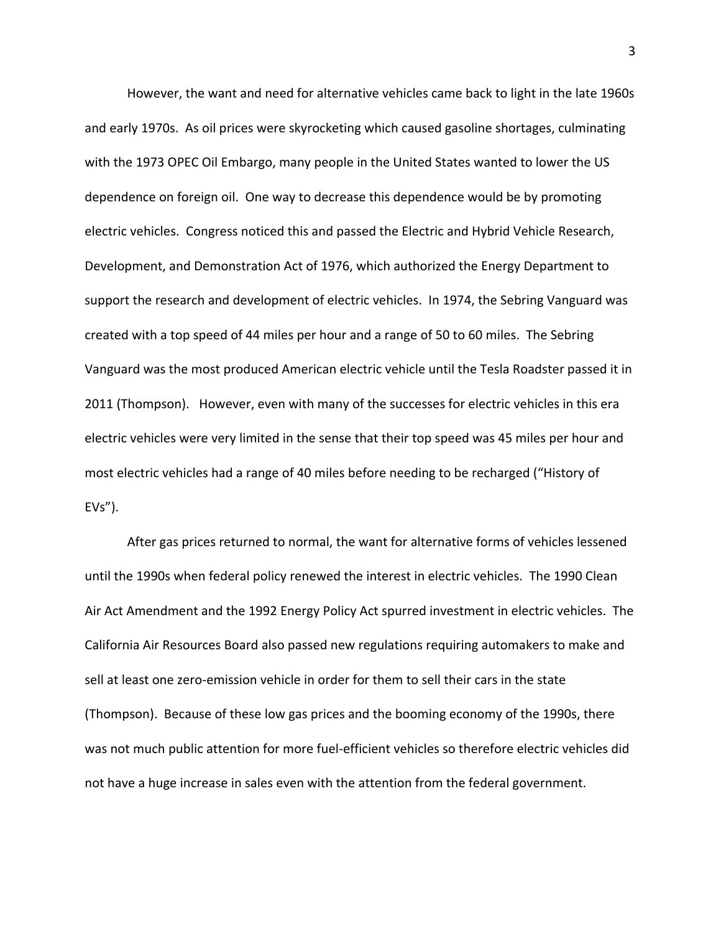However, the want and need for alternative vehicles came back to light in the late 1960s and early 1970s. As oil prices were skyrocketing which caused gasoline shortages, culminating with the 1973 OPEC Oil Embargo, many people in the United States wanted to lower the US dependence on foreign oil. One way to decrease this dependence would be by promoting electric vehicles. Congress noticed this and passed the Electric and Hybrid Vehicle Research, Development, and Demonstration Act of 1976, which authorized the Energy Department to support the research and development of electric vehicles. In 1974, the Sebring Vanguard was created with a top speed of 44 miles per hour and a range of 50 to 60 miles. The Sebring Vanguard was the most produced American electric vehicle until the Tesla Roadster passed it in 2011 (Thompson). However, even with many of the successes for electric vehicles in this era electric vehicles were very limited in the sense that their top speed was 45 miles per hour and most electric vehicles had a range of 40 miles before needing to be recharged ("History of  $EVS''$ ).

After gas prices returned to normal, the want for alternative forms of vehicles lessened until the 1990s when federal policy renewed the interest in electric vehicles. The 1990 Clean Air Act Amendment and the 1992 Energy Policy Act spurred investment in electric vehicles. The California Air Resources Board also passed new regulations requiring automakers to make and sell at least one zero-emission vehicle in order for them to sell their cars in the state (Thompson). Because of these low gas prices and the booming economy of the 1990s, there was not much public attention for more fuel-efficient vehicles so therefore electric vehicles did not have a huge increase in sales even with the attention from the federal government.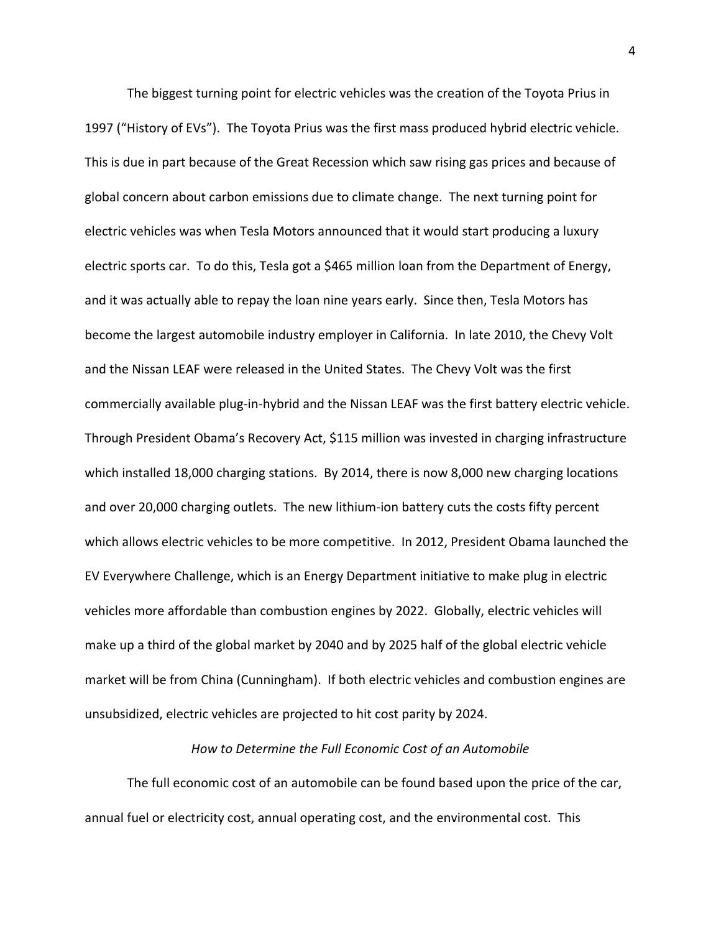The biggest turning point for electric vehicles was the creation of the Toyota Prius in 1997 ("History of EVs"). The Toyota Prius was the first mass produced hybrid electric vehicle. This is due in part because of the Great Recession which saw rising gas prices and because of global concern about carbon emissions due to climate change. The next turning point for electric vehicles was when Tesla Motors announced that it would start producing a luxury electric sports car. To do this, Tesla got a \$465 million loan from the Department of Energy, and it was actually able to repay the loan nine years early. Since then, Tesla Motors has become the largest automobile industry employer in California. In late 2010, the Chevy Volt and the Nissan LEAF were released in the United States. The Chevy Volt was the first commercially available plug-in-hybrid and the Nissan LEAF was the first battery electric vehicle. Through President Obama's Recovery Act, \$115 million was invested in charging infrastructure which installed 18,000 charging stations. By 2014, there is now 8,000 new charging locations and over 20,000 charging outlets. The new lithium-ion battery cuts the costs fifty percent which allows electric vehicles to be more competitive. In 2012, President Obama launched the EV Everywhere Challenge, which is an Energy Department initiative to make plug in electric vehicles more affordable than combustion engines by 2022. Globally, electric vehicles will make up a third of the global market by 2040 and by 2025 half of the global electric vehicle market will be from China (Cunningham). If both electric vehicles and combustion engines are unsubsidized, electric vehicles are projected to hit cost parity by 2024.

#### *How to Determine the Full Economic Cost of an Automobile*

The full economic cost of an automobile can be found based upon the price of the car, annual fuel or electricity cost, annual operating cost, and the environmental cost. This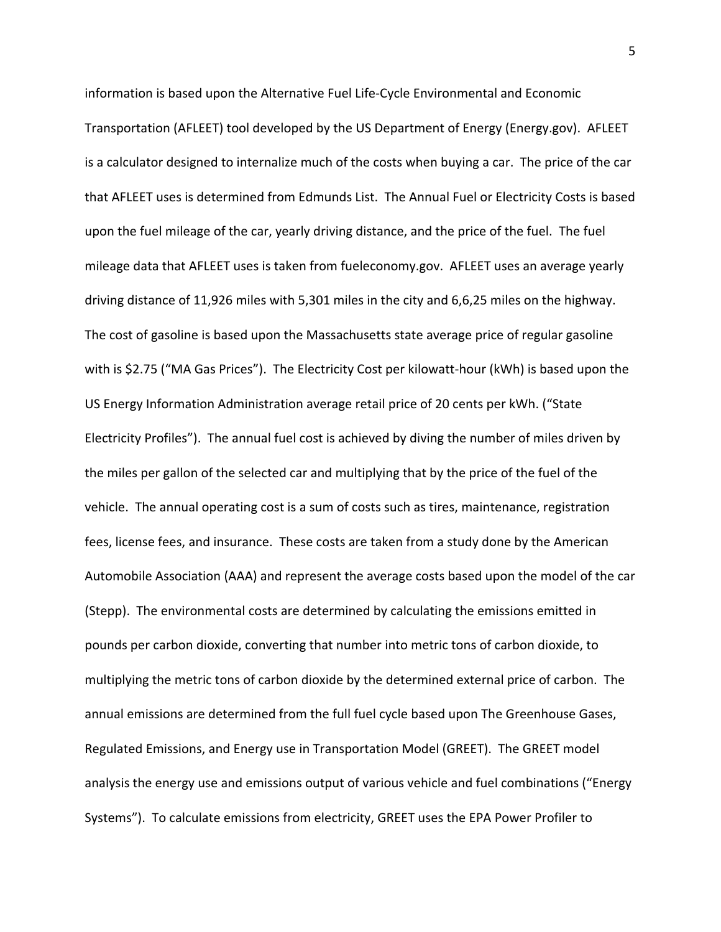information is based upon the Alternative Fuel Life-Cycle Environmental and Economic Transportation (AFLEET) tool developed by the US Department of Energy (Energy.gov). AFLEET is a calculator designed to internalize much of the costs when buying a car. The price of the car that AFLEET uses is determined from Edmunds List. The Annual Fuel or Electricity Costs is based upon the fuel mileage of the car, yearly driving distance, and the price of the fuel. The fuel mileage data that AFLEET uses is taken from fueleconomy.gov. AFLEET uses an average yearly driving distance of 11,926 miles with 5,301 miles in the city and 6,6,25 miles on the highway. The cost of gasoline is based upon the Massachusetts state average price of regular gasoline with is \$2.75 ("MA Gas Prices"). The Electricity Cost per kilowatt-hour (kWh) is based upon the US Energy Information Administration average retail price of 20 cents per kWh. ("State Electricity Profiles"). The annual fuel cost is achieved by diving the number of miles driven by the miles per gallon of the selected car and multiplying that by the price of the fuel of the vehicle. The annual operating cost is a sum of costs such as tires, maintenance, registration fees, license fees, and insurance. These costs are taken from a study done by the American Automobile Association (AAA) and represent the average costs based upon the model of the car (Stepp). The environmental costs are determined by calculating the emissions emitted in pounds per carbon dioxide, converting that number into metric tons of carbon dioxide, to multiplying the metric tons of carbon dioxide by the determined external price of carbon. The annual emissions are determined from the full fuel cycle based upon The Greenhouse Gases, Regulated Emissions, and Energy use in Transportation Model (GREET). The GREET model analysis the energy use and emissions output of various vehicle and fuel combinations ("Energy Systems"). To calculate emissions from electricity, GREET uses the EPA Power Profiler to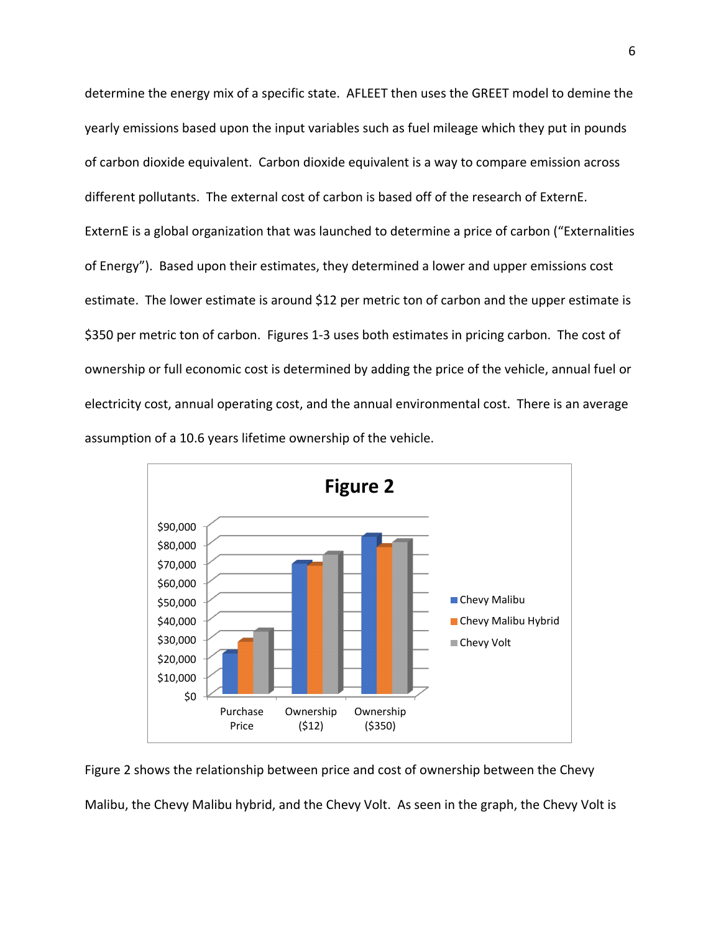determine the energy mix of a specific state. AFLEET then uses the GREET model to demine the yearly emissions based upon the input variables such as fuel mileage which they put in pounds of carbon dioxide equivalent. Carbon dioxide equivalent is a way to compare emission across different pollutants. The external cost of carbon is based off of the research of ExternE. ExternE is a global organization that was launched to determine a price of carbon ("Externalities of Energy"). Based upon their estimates, they determined a lower and upper emissions cost estimate. The lower estimate is around \$12 per metric ton of carbon and the upper estimate is \$350 per metric ton of carbon. Figures 1-3 uses both estimates in pricing carbon. The cost of ownership or full economic cost is determined by adding the price of the vehicle, annual fuel or electricity cost, annual operating cost, and the annual environmental cost. There is an average assumption of a 10.6 years lifetime ownership of the vehicle.



Figure 2 shows the relationship between price and cost of ownership between the Chevy Malibu, the Chevy Malibu hybrid, and the Chevy Volt. As seen in the graph, the Chevy Volt is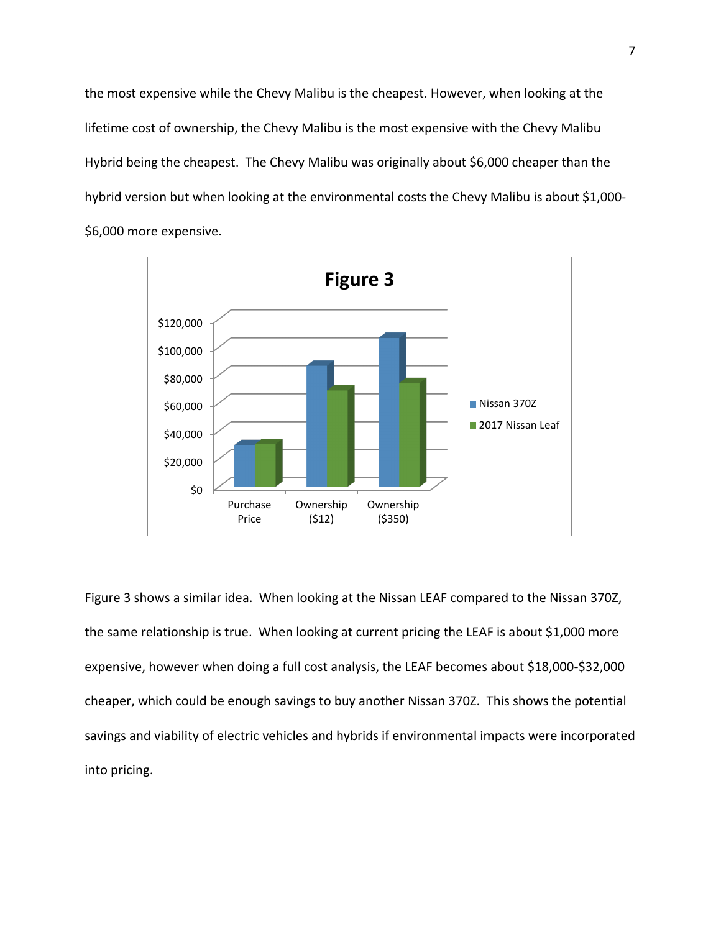the most expensive while the Chevy Malibu is the cheapest. However, when looking at the lifetime cost of ownership, the Chevy Malibu is the most expensive with the Chevy Malibu Hybrid being the cheapest. The Chevy Malibu was originally about \$6,000 cheaper than the hybrid version but when looking at the environmental costs the Chevy Malibu is about \$1,000- \$6,000 more expensive.



Figure 3 shows a similar idea. When looking at the Nissan LEAF compared to the Nissan 370Z, the same relationship is true. When looking at current pricing the LEAF is about \$1,000 more expensive, however when doing a full cost analysis, the LEAF becomes about \$18,000-\$32,000 cheaper, which could be enough savings to buy another Nissan 370Z. This shows the potential savings and viability of electric vehicles and hybrids if environmental impacts were incorporated into pricing.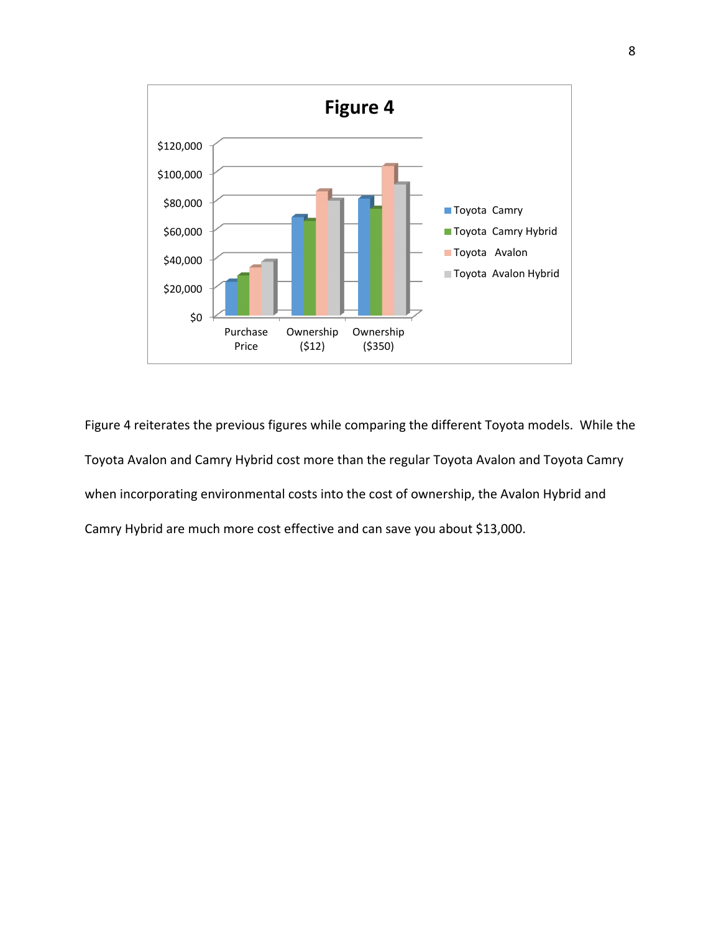

Figure 4 reiterates the previous figures while comparing the different Toyota models. While the Toyota Avalon and Camry Hybrid cost more than the regular Toyota Avalon and Toyota Camry when incorporating environmental costs into the cost of ownership, the Avalon Hybrid and Camry Hybrid are much more cost effective and can save you about \$13,000.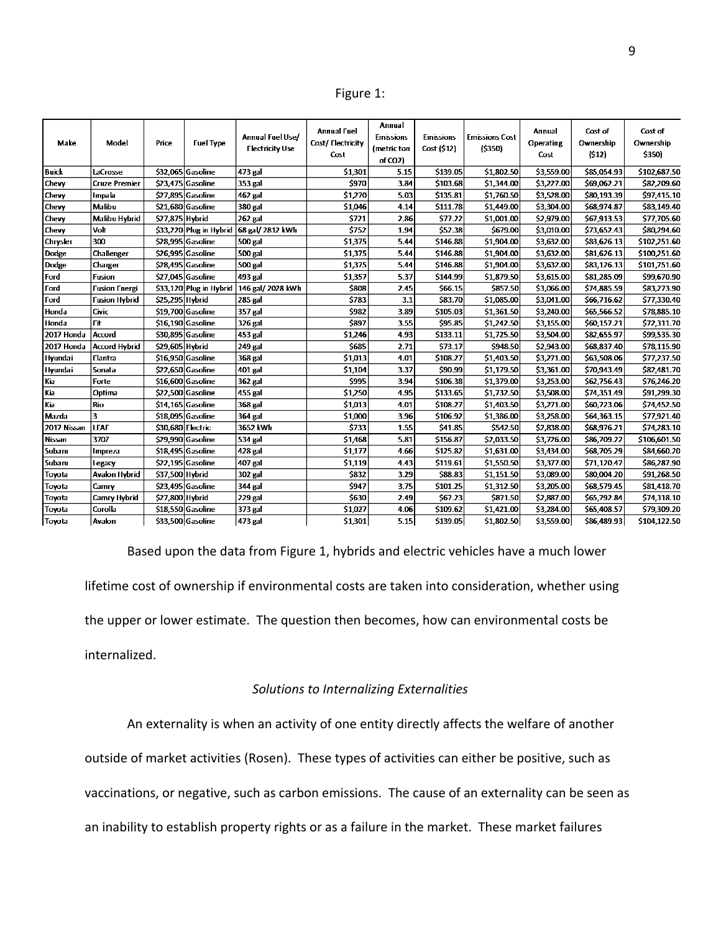Figure 1:

| Make         | Model                | Price             | <b>Fuel Type</b>        | Annual Fuel Use/<br><b>Electricity Use</b> | <b>Annual Fuel</b><br>Cost/Electricity<br>Cost | Annual<br><b>Emissions</b><br>{metric ton<br>of CO2) | <b>Emissions</b><br>Cost (\$12) | <b>Emissions Cost</b><br>(5350) | Annual<br><b>Operating</b><br>Cost | Cost of<br>Ownership<br>(512) | Cost of<br>Ownership<br>\$350) |
|--------------|----------------------|-------------------|-------------------------|--------------------------------------------|------------------------------------------------|------------------------------------------------------|---------------------------------|---------------------------------|------------------------------------|-------------------------------|--------------------------------|
| <b>Buick</b> | LaCrosse             |                   | \$32,065 Gasoline       | 473 gal                                    | \$1,301                                        | 5.15                                                 | \$139.05                        | \$1,802.50                      | \$3,559.00                         | \$85,054.93                   | \$102,687.50                   |
| Chevy        | <b>Cruze Premier</b> |                   | \$23,475 Gasoline       | 353 gal                                    | \$970                                          | 3.84                                                 | \$103.68                        | \$1,344.00                      | \$3,227.00                         | \$69,062.21                   | \$82,209.60                    |
| Chevy        | Impala               |                   | \$27,895 Gasoline       | 462 gal                                    | \$1,270                                        | 5.03                                                 | \$135.81                        | \$1,760.50                      | \$3,528.00                         | \$80,193.39                   | \$97,415.10                    |
| Chevy        | Malibu               |                   | \$21.680 Gasoline       | 380 gal                                    | \$1,046                                        | 4.14                                                 | \$111.78                        | \$1,449.00                      | \$3,304.00                         | \$68,974.87                   | \$83,149.40                    |
| Chevy        | Malibu Hybrid        | \$27,875 Hybrid   |                         | 262 gal                                    | \$721                                          | 2.86                                                 | \$77.22                         | \$1,001.00                      | \$2,979.00                         | \$67,913.53                   | \$77,705.60                    |
| Chevy        | Volt                 |                   |                         | \$33,220 Plug in Hybrid 68 gal/ 2812 kWh   | \$752                                          | 1.94                                                 | \$52.38                         | \$679.00                        | \$3,010.00                         | \$73,652.43                   | \$80,294.60                    |
| Chrysler     | 300                  |                   | \$28,995 Gasoline       | 500 gal                                    | \$1,375                                        | 5.44                                                 | \$146.88                        | \$1,904.00                      | \$3,632.00                         | \$83,626.13                   | \$102,251.60                   |
| <b>Dodge</b> | Challenger           |                   | \$26,995 Gasoline       | 500 gal                                    | \$1,375                                        | 5.44                                                 | \$146.88                        | \$1,904.00                      | \$3,632.00                         | \$81,626.13                   | \$100,251.60                   |
| Dodge        | Charger              |                   | \$28,495 Gasoline       | 500 gal                                    | \$1,375                                        | 5.44                                                 | \$146.88                        | \$1,904.00                      | \$3,632.00                         | \$83,126.13                   | \$101,751.60                   |
| Ford         | <b>Fusion</b>        |                   | \$27,045 Gasoline       | 493 gal                                    | \$1,357                                        | 5.37                                                 | \$144.99                        | \$1,879.50                      | \$3,615.00                         | \$81,285.09                   | \$99,670.90                    |
| Ford         | <b>Fusion Energi</b> |                   | \$33,120 Plug in Hybrid | 146 gal/ 2028 kWh                          | \$808                                          | 2.45                                                 | \$66.15                         | \$857.50                        | \$3,066.00                         | \$74,885.59                   | \$83,273.90                    |
| Ford         | <b>Fusion Hybrid</b> | \$25,295 Hybrid   |                         | 285 gal                                    | \$783                                          | 3.1                                                  | \$83.70                         | \$1,085.00                      | \$3,041.00                         | \$66,716.62                   | \$77,330.40                    |
| Honda        | Civic                |                   | \$19,700 Gasoline       | 357 gal                                    | \$982                                          | 3.89                                                 | \$105.03                        | \$1,361.50                      | \$3,240.00                         | \$65,566.52                   | \$78,885.10                    |
| Honda        | Fit                  |                   | \$16,190 Gasoline       | 326 gal                                    | \$897                                          | 3.55                                                 | \$95.85                         | \$1,242.50                      | \$3,155.00                         | \$60,157.21                   | \$72,311.70                    |
| 2017 Honda   | Accord               |                   | \$30,895 Gasoline       | 453 gal                                    | \$1,246                                        | 4.93                                                 | \$133.11                        | \$1,725.50                      | \$3,504.00                         | \$82,655.97                   | \$99,535.30                    |
| 2017 Honda   | <b>Accord Hybrid</b> | \$29,605 Hybrid   |                         | 249 gal                                    | \$685                                          | 2.71                                                 | \$73.17                         | \$948.50                        | \$2,943.00                         | \$68,837.40                   | \$78,115.90                    |
| Hyundai      | Elantra              |                   | \$16,950 Gasoline       | 368 gal                                    | \$1,013                                        | 4.01                                                 | \$108.27                        | \$1,403.50                      | \$3,271.00                         | \$63,508.06                   | \$77,237.50                    |
| Hyundai      | Sonata               |                   | \$22,650 Gasoline       | 401 gal                                    | \$1,104                                        | 3.37                                                 | \$90.99                         | \$1,179.50                      | \$3,361.00                         | \$70,943.49                   | \$82,481.70                    |
| Kia          | Forte                |                   | \$16,600 Gasoline       | 362 gal                                    | \$995                                          | 3.94                                                 | \$106.38                        | \$1,379.00                      | \$3,253.00                         | \$62,756.43                   | \$76,246.20                    |
| Kia          | Optima               |                   | \$22,500 Gasoline       | 455 gal                                    | \$1,250                                        | 4.95                                                 | \$133.65                        | \$1,732.50                      | \$3,508.00                         | \$74,351.49                   | \$91,299.30                    |
| Kia          | Rio                  |                   | \$14.165 Gasoline       | 368 gal                                    | \$1,013                                        | 4.01                                                 | \$108.27                        | \$1,403.50                      | \$3,271.00                         | \$60,723.06                   | \$74,452.50                    |
| Mazda        | 3                    |                   | \$18,095 Gasoline       | 364 gal                                    | \$1,000                                        | 3.96                                                 | \$106.92                        | \$1,386.00                      | \$3,258.00                         | \$64,363.15                   | \$77,921.40                    |
| 2017 Nissan  | <b>LEAF</b>          | \$30,680 Electric |                         | 3652 kWh                                   | \$733                                          | 1.55                                                 | \$41.85                         | \$542.50                        | \$2,838.00                         | \$68,976.21                   | \$74,283.10                    |
| Nissan       | 3707                 |                   | \$29,990 Gasoline       | 534 gal                                    | \$1,468                                        | 5.81                                                 | \$156.87                        | \$2,033.50                      | \$3,726.00                         | \$86,709.22                   | \$106,601.50                   |
| Subaru       | Impreza              |                   | \$18,495 Gasoline       | 428 gal                                    | \$1,177                                        | 4.66                                                 | \$125.82                        | \$1,631.00                      | \$3,434.00                         | \$68,705.29                   | \$84,660.20                    |
| Subaru       | Legacy               |                   | \$22,195 Gasoline       | 407 gal                                    | \$1,119                                        | 4.43                                                 | \$119.61                        | \$1,550.50                      | \$3,377.00                         | \$71.120.47                   | \$86,287.90                    |
| Toyota       | Avalon Hybrid        | \$37,500 Hybrid   |                         | 302 gal                                    | \$832                                          | 3.29                                                 | \$88.83                         | \$1.151.50                      | \$3,089.00                         | \$80,004.20                   | \$91,268.50                    |
| Toyota       | Camry                |                   | \$23,495 Gasoline       | 344 gal                                    | \$947                                          | 3.75                                                 | \$101.25                        | \$1,312.50                      | \$3,205.00                         | \$68,579.45                   | \$81,418.70                    |
| Toyota       | Camry Hybrid         | \$27,800 Hybrid   |                         | 229 gal                                    | \$630                                          | 2.49                                                 | \$67.23                         | \$871.50                        | \$2,887.00                         | \$65,792.84                   | \$74,318.10                    |
| Toyota       | Corolla              |                   | \$18,550 Gasoline       | 373 gal                                    | \$1,027                                        | 4.06                                                 | \$109.62                        | \$1,421.00                      | \$3,284.00                         | \$65,408.57                   | \$79,309.20                    |
| Toyota       | Avalon               |                   | \$33,500 Gasoline       | 473 gal                                    | \$1,301                                        | 5.15                                                 | \$139.05                        | \$1,802.50                      | \$3,559.00                         | \$86,489.93                   | \$104,122.50                   |

Based upon the data from Figure 1, hybrids and electric vehicles have a much lower lifetime cost of ownership if environmental costs are taken into consideration, whether using the upper or lower estimate. The question then becomes, how can environmental costs be internalized.

## *Solutions to Internalizing Externalities*

An externality is when an activity of one entity directly affects the welfare of another outside of market activities (Rosen). These types of activities can either be positive, such as vaccinations, or negative, such as carbon emissions. The cause of an externality can be seen as an inability to establish property rights or as a failure in the market. These market failures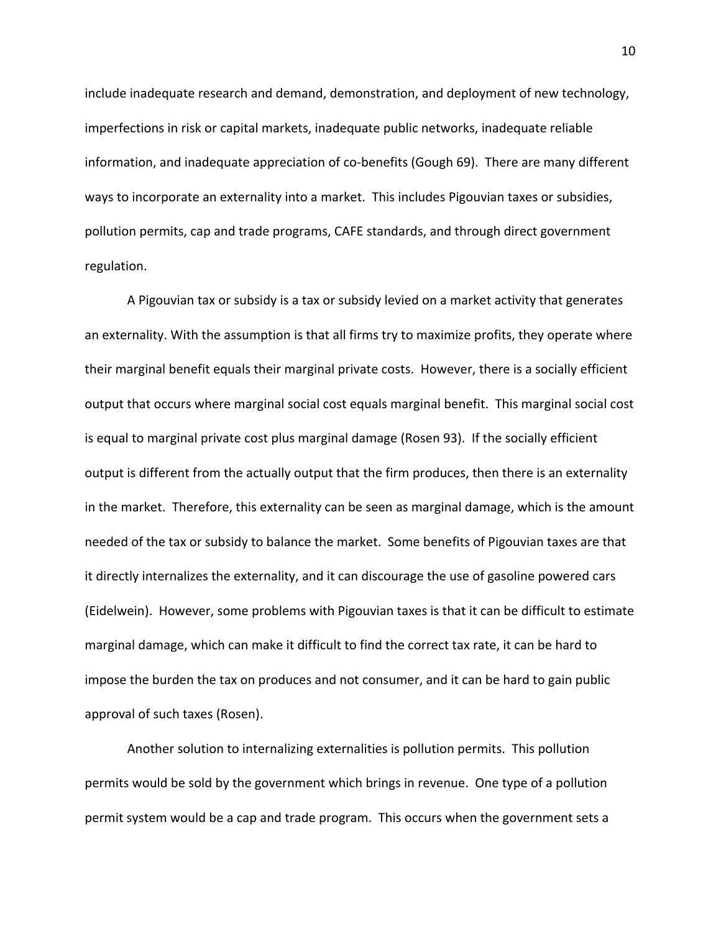include inadequate research and demand, demonstration, and deployment of new technology, imperfections in risk or capital markets, inadequate public networks, inadequate reliable information, and inadequate appreciation of co-benefits (Gough 69). There are many different ways to incorporate an externality into a market. This includes Pigouvian taxes or subsidies, pollution permits, cap and trade programs, CAFE standards, and through direct government regulation.

A Pigouvian tax or subsidy is a tax or subsidy levied on a market activity that generates an externality. With the assumption is that all firms try to maximize profits, they operate where their marginal benefit equals their marginal private costs. However, there is a socially efficient output that occurs where marginal social cost equals marginal benefit. This marginal social cost is equal to marginal private cost plus marginal damage (Rosen 93). If the socially efficient output is different from the actually output that the firm produces, then there is an externality in the market. Therefore, this externality can be seen as marginal damage, which is the amount needed of the tax or subsidy to balance the market. Some benefits of Pigouvian taxes are that it directly internalizes the externality, and it can discourage the use of gasoline powered cars (Eidelwein). However, some problems with Pigouvian taxes is that it can be difficult to estimate marginal damage, which can make it difficult to find the correct tax rate, it can be hard to impose the burden the tax on produces and not consumer, and it can be hard to gain public approval of such taxes (Rosen).

Another solution to internalizing externalities is pollution permits. This pollution permits would be sold by the government which brings in revenue. One type of a pollution permit system would be a cap and trade program. This occurs when the government sets a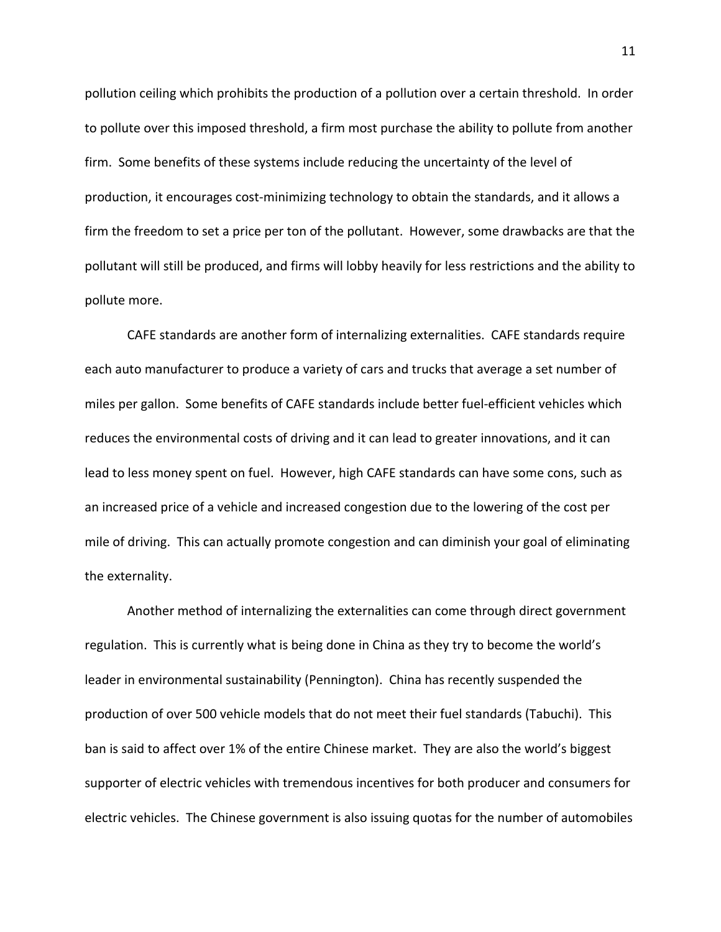pollution ceiling which prohibits the production of a pollution over a certain threshold. In order to pollute over this imposed threshold, a firm most purchase the ability to pollute from another firm. Some benefits of these systems include reducing the uncertainty of the level of production, it encourages cost-minimizing technology to obtain the standards, and it allows a firm the freedom to set a price per ton of the pollutant. However, some drawbacks are that the pollutant will still be produced, and firms will lobby heavily for less restrictions and the ability to pollute more.

CAFE standards are another form of internalizing externalities. CAFE standards require each auto manufacturer to produce a variety of cars and trucks that average a set number of miles per gallon. Some benefits of CAFE standards include better fuel-efficient vehicles which reduces the environmental costs of driving and it can lead to greater innovations, and it can lead to less money spent on fuel. However, high CAFE standards can have some cons, such as an increased price of a vehicle and increased congestion due to the lowering of the cost per mile of driving. This can actually promote congestion and can diminish your goal of eliminating the externality.

Another method of internalizing the externalities can come through direct government regulation. This is currently what is being done in China as they try to become the world's leader in environmental sustainability (Pennington). China has recently suspended the production of over 500 vehicle models that do not meet their fuel standards (Tabuchi). This ban is said to affect over 1% of the entire Chinese market. They are also the world's biggest supporter of electric vehicles with tremendous incentives for both producer and consumers for electric vehicles. The Chinese government is also issuing quotas for the number of automobiles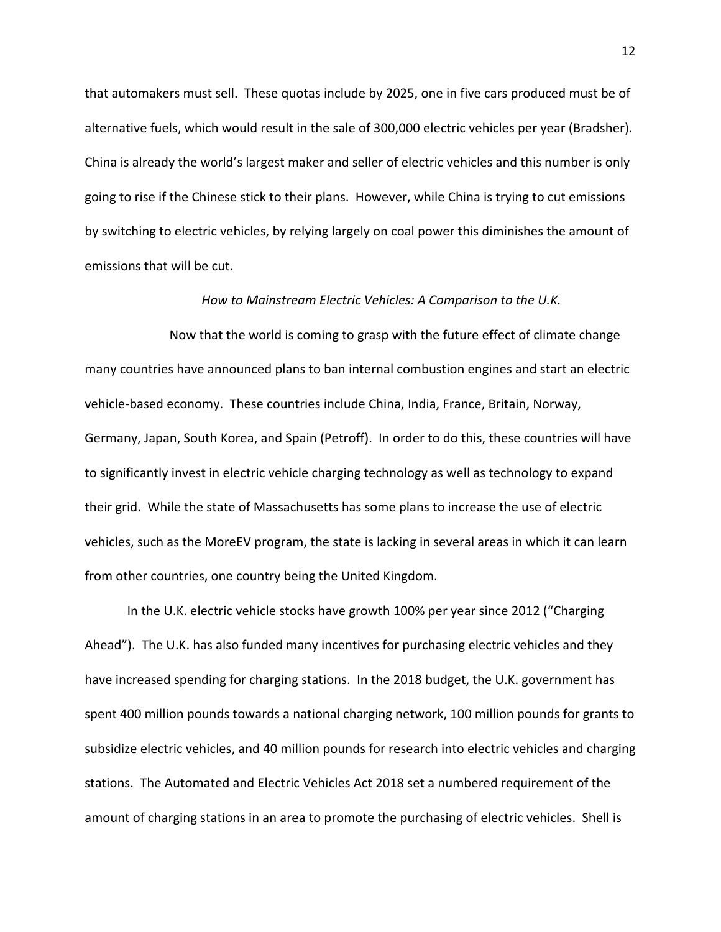that automakers must sell. These quotas include by 2025, one in five cars produced must be of alternative fuels, which would result in the sale of 300,000 electric vehicles per year (Bradsher). China is already the world's largest maker and seller of electric vehicles and this number is only going to rise if the Chinese stick to their plans. However, while China is trying to cut emissions by switching to electric vehicles, by relying largely on coal power this diminishes the amount of emissions that will be cut.

#### *How to Mainstream Electric Vehicles: A Comparison to the U.K.*

Now that the world is coming to grasp with the future effect of climate change many countries have announced plans to ban internal combustion engines and start an electric vehicle-based economy. These countries include China, India, France, Britain, Norway, Germany, Japan, South Korea, and Spain (Petroff). In order to do this, these countries will have to significantly invest in electric vehicle charging technology as well as technology to expand their grid. While the state of Massachusetts has some plans to increase the use of electric vehicles, such as the MoreEV program, the state is lacking in several areas in which it can learn from other countries, one country being the United Kingdom.

In the U.K. electric vehicle stocks have growth 100% per year since 2012 ("Charging Ahead"). The U.K. has also funded many incentives for purchasing electric vehicles and they have increased spending for charging stations. In the 2018 budget, the U.K. government has spent 400 million pounds towards a national charging network, 100 million pounds for grants to subsidize electric vehicles, and 40 million pounds for research into electric vehicles and charging stations. The Automated and Electric Vehicles Act 2018 set a numbered requirement of the amount of charging stations in an area to promote the purchasing of electric vehicles. Shell is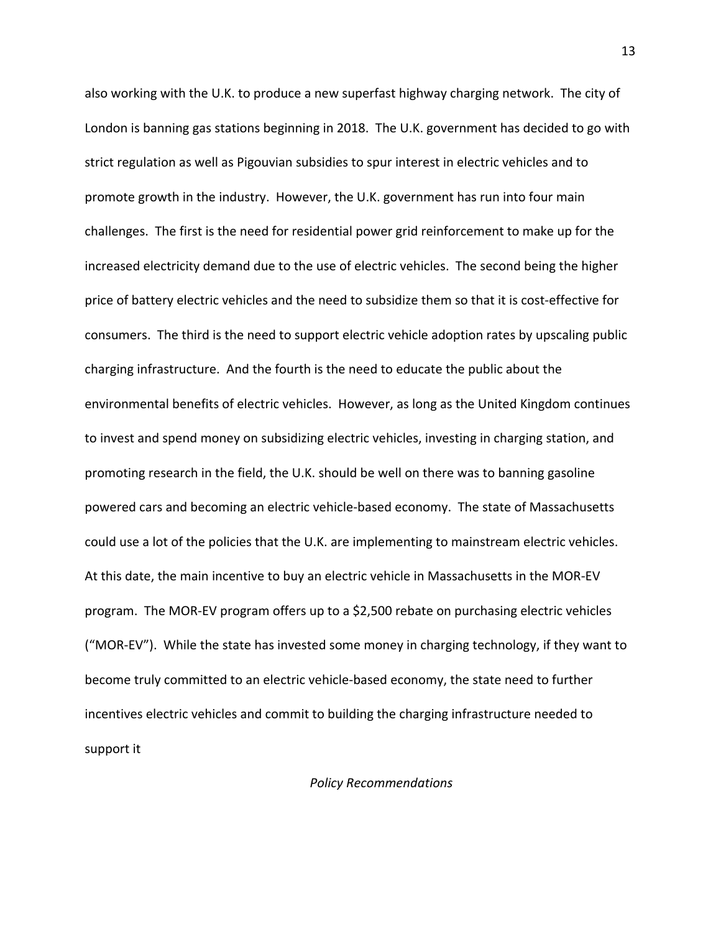also working with the U.K. to produce a new superfast highway charging network. The city of London is banning gas stations beginning in 2018. The U.K. government has decided to go with strict regulation as well as Pigouvian subsidies to spur interest in electric vehicles and to promote growth in the industry. However, the U.K. government has run into four main challenges. The first is the need for residential power grid reinforcement to make up for the increased electricity demand due to the use of electric vehicles. The second being the higher price of battery electric vehicles and the need to subsidize them so that it is cost-effective for consumers. The third is the need to support electric vehicle adoption rates by upscaling public charging infrastructure. And the fourth is the need to educate the public about the environmental benefits of electric vehicles. However, as long as the United Kingdom continues to invest and spend money on subsidizing electric vehicles, investing in charging station, and promoting research in the field, the U.K. should be well on there was to banning gasoline powered cars and becoming an electric vehicle-based economy. The state of Massachusetts could use a lot of the policies that the U.K. are implementing to mainstream electric vehicles. At this date, the main incentive to buy an electric vehicle in Massachusetts in the MOR-EV program. The MOR-EV program offers up to a \$2,500 rebate on purchasing electric vehicles ("MOR-EV"). While the state has invested some money in charging technology, if they want to become truly committed to an electric vehicle-based economy, the state need to further incentives electric vehicles and commit to building the charging infrastructure needed to support it

## *Policy Recommendations*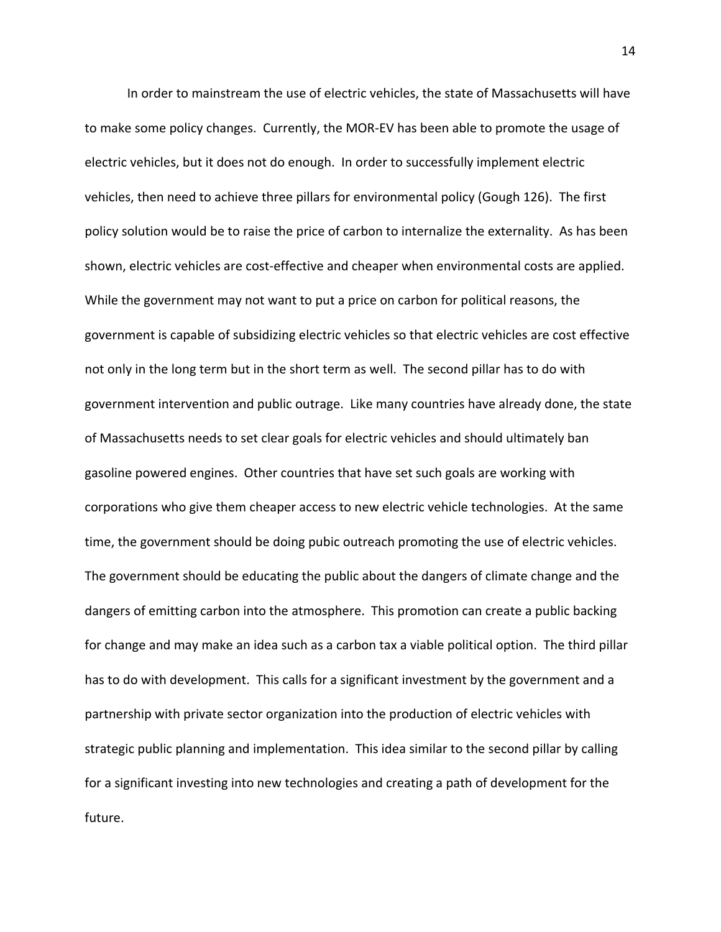In order to mainstream the use of electric vehicles, the state of Massachusetts will have to make some policy changes. Currently, the MOR-EV has been able to promote the usage of electric vehicles, but it does not do enough. In order to successfully implement electric vehicles, then need to achieve three pillars for environmental policy (Gough 126). The first policy solution would be to raise the price of carbon to internalize the externality. As has been shown, electric vehicles are cost-effective and cheaper when environmental costs are applied. While the government may not want to put a price on carbon for political reasons, the government is capable of subsidizing electric vehicles so that electric vehicles are cost effective not only in the long term but in the short term as well. The second pillar has to do with government intervention and public outrage. Like many countries have already done, the state of Massachusetts needs to set clear goals for electric vehicles and should ultimately ban gasoline powered engines. Other countries that have set such goals are working with corporations who give them cheaper access to new electric vehicle technologies. At the same time, the government should be doing pubic outreach promoting the use of electric vehicles. The government should be educating the public about the dangers of climate change and the dangers of emitting carbon into the atmosphere. This promotion can create a public backing for change and may make an idea such as a carbon tax a viable political option. The third pillar has to do with development. This calls for a significant investment by the government and a partnership with private sector organization into the production of electric vehicles with strategic public planning and implementation. This idea similar to the second pillar by calling for a significant investing into new technologies and creating a path of development for the future.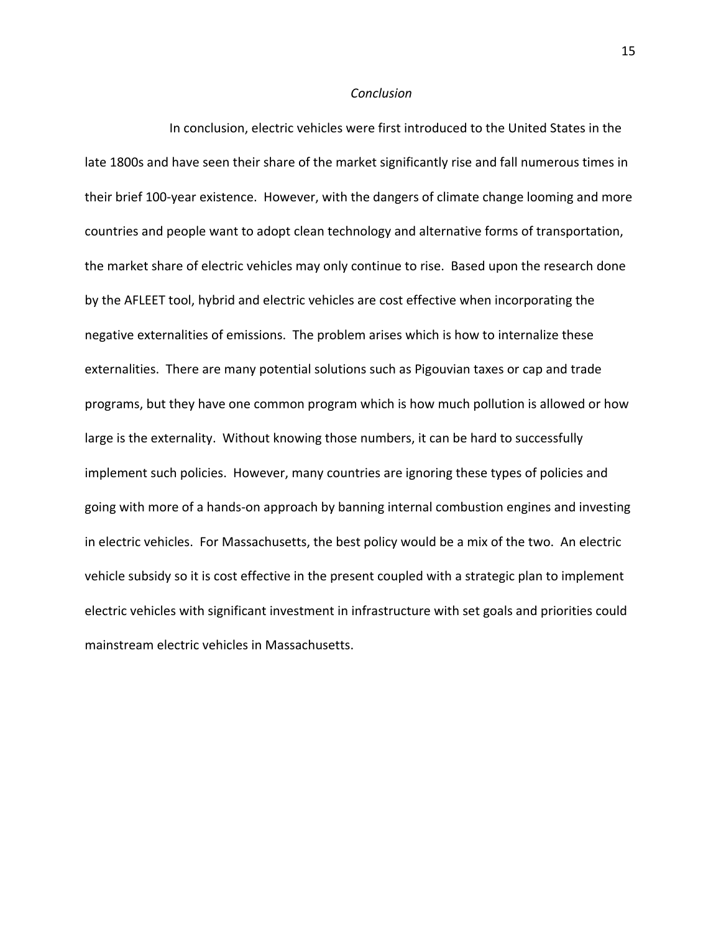#### *Conclusion*

In conclusion, electric vehicles were first introduced to the United States in the late 1800s and have seen their share of the market significantly rise and fall numerous times in their brief 100-year existence. However, with the dangers of climate change looming and more countries and people want to adopt clean technology and alternative forms of transportation, the market share of electric vehicles may only continue to rise. Based upon the research done by the AFLEET tool, hybrid and electric vehicles are cost effective when incorporating the negative externalities of emissions. The problem arises which is how to internalize these externalities. There are many potential solutions such as Pigouvian taxes or cap and trade programs, but they have one common program which is how much pollution is allowed or how large is the externality. Without knowing those numbers, it can be hard to successfully implement such policies. However, many countries are ignoring these types of policies and going with more of a hands-on approach by banning internal combustion engines and investing in electric vehicles. For Massachusetts, the best policy would be a mix of the two. An electric vehicle subsidy so it is cost effective in the present coupled with a strategic plan to implement electric vehicles with significant investment in infrastructure with set goals and priorities could mainstream electric vehicles in Massachusetts.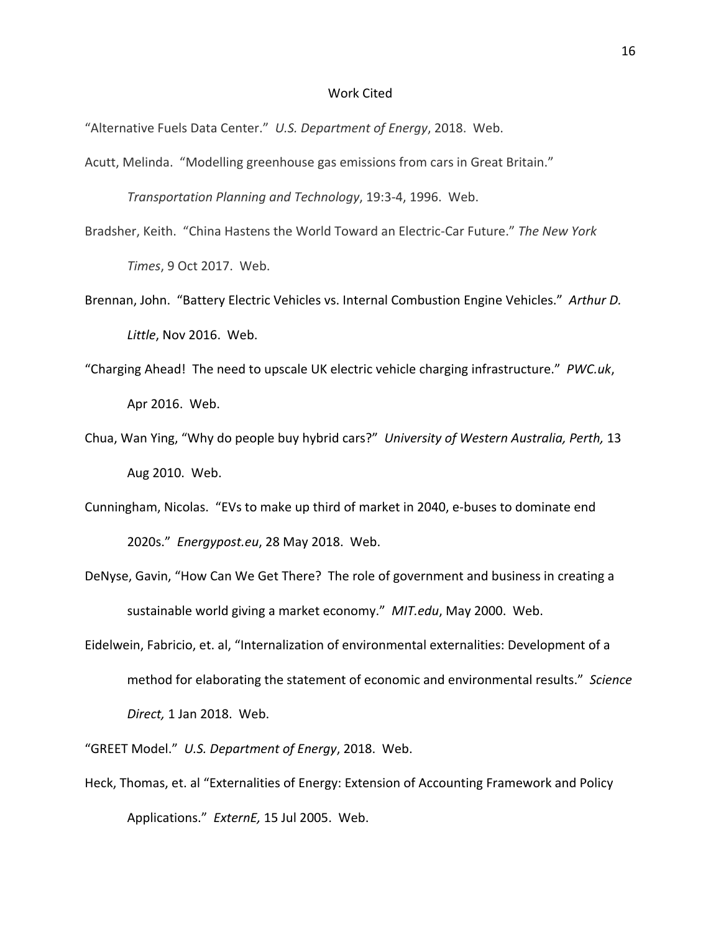### Work Cited

"Alternative Fuels Data Center." *U.S. Department of Energy*, 2018. Web.

Acutt, Melinda. "Modelling greenhouse gas emissions from cars in Great Britain."

*Transportation Planning and Technology*, 19:3-4, 1996. Web.

Bradsher, Keith. "China Hastens the World Toward an Electric-Car Future." *The New York Times*, 9 Oct 2017. Web.

Brennan, John. "Battery Electric Vehicles vs. Internal Combustion Engine Vehicles." *Arthur D. Little*, Nov 2016. Web.

- "Charging Ahead! The need to upscale UK electric vehicle charging infrastructure." *PWC.uk*, Apr 2016. Web.
- Chua, Wan Ying, "Why do people buy hybrid cars?" *University of Western Australia, Perth,* 13 Aug 2010. Web.
- Cunningham, Nicolas. "EVs to make up third of market in 2040, e-buses to dominate end 2020s." *Energypost.eu*, 28 May 2018. Web.
- DeNyse, Gavin, "How Can We Get There? The role of government and business in creating a sustainable world giving a market economy." *MIT.edu*, May 2000. Web.
- Eidelwein, Fabricio, et. al, "Internalization of environmental externalities: Development of a method for elaborating the statement of economic and environmental results." *Science Direct,* 1 Jan 2018. Web.

"GREET Model." *U.S. Department of Energy*, 2018. Web.

Heck, Thomas, et. al "Externalities of Energy: Extension of Accounting Framework and Policy Applications." *ExternE,* 15 Jul 2005. Web.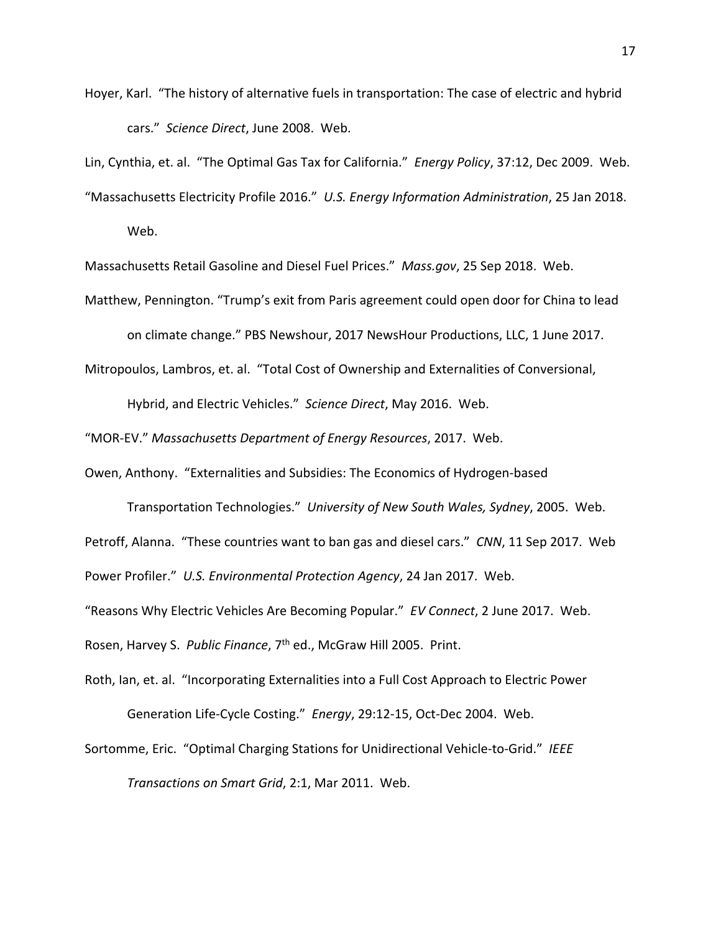Hoyer, Karl. "The history of alternative fuels in transportation: The case of electric and hybrid cars." *Science Direct*, June 2008. Web.

Lin, Cynthia, et. al. "The Optimal Gas Tax for California." *Energy Policy*, 37:12, Dec 2009. Web.

"Massachusetts Electricity Profile 2016." *U.S. Energy Information Administration*, 25 Jan 2018.

Web.

Massachusetts Retail Gasoline and Diesel Fuel Prices." *Mass.gov*, 25 Sep 2018. Web.

Matthew, Pennington. "Trump's exit from Paris agreement could open door for China to lead on climate change." PBS Newshour, 2017 NewsHour Productions, LLC, 1 June 2017.

Mitropoulos, Lambros, et. al. "Total Cost of Ownership and Externalities of Conversional,

Hybrid, and Electric Vehicles." *Science Direct*, May 2016. Web.

"MOR-EV." *Massachusetts Department of Energy Resources*, 2017. Web.

Owen, Anthony. "Externalities and Subsidies: The Economics of Hydrogen-based

Transportation Technologies." *University of New South Wales, Sydney*, 2005. Web. Petroff, Alanna. "These countries want to ban gas and diesel cars." *CNN*, 11 Sep 2017. Web Power Profiler." *U.S. Environmental Protection Agency*, 24 Jan 2017. Web.

"Reasons Why Electric Vehicles Are Becoming Popular." *EV Connect*, 2 June 2017. Web.

Rosen, Harvey S. *Public Finance*, 7th ed., McGraw Hill 2005. Print.

Roth, Ian, et. al. "Incorporating Externalities into a Full Cost Approach to Electric Power Generation Life-Cycle Costing." *Energy*, 29:12-15, Oct-Dec 2004. Web.

Sortomme, Eric. "Optimal Charging Stations for Unidirectional Vehicle-to-Grid." *IEEE Transactions on Smart Grid*, 2:1, Mar 2011. Web.